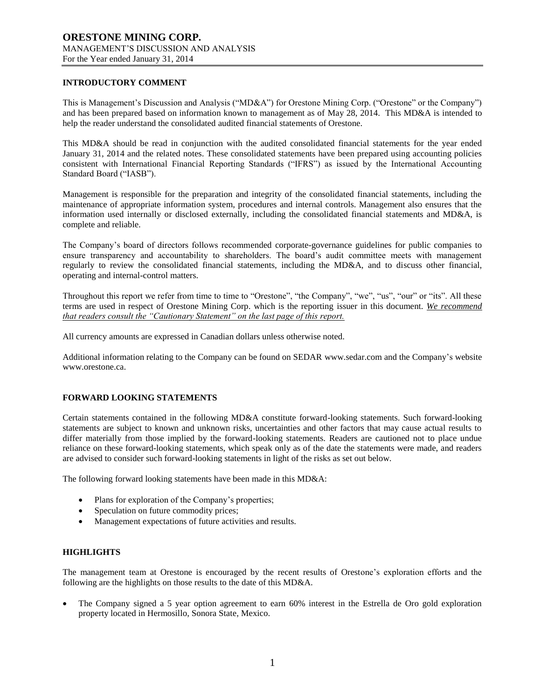## **INTRODUCTORY COMMENT**

This is Management's Discussion and Analysis ("MD&A") for Orestone Mining Corp. ("Orestone" or the Company") and has been prepared based on information known to management as of May 28, 2014. This MD&A is intended to help the reader understand the consolidated audited financial statements of Orestone.

This MD&A should be read in conjunction with the audited consolidated financial statements for the year ended January 31, 2014 and the related notes. These consolidated statements have been prepared using accounting policies consistent with International Financial Reporting Standards ("IFRS") as issued by the International Accounting Standard Board ("IASB").

Management is responsible for the preparation and integrity of the consolidated financial statements, including the maintenance of appropriate information system, procedures and internal controls. Management also ensures that the information used internally or disclosed externally, including the consolidated financial statements and MD&A, is complete and reliable.

The Company's board of directors follows recommended corporate-governance guidelines for public companies to ensure transparency and accountability to shareholders. The board's audit committee meets with management regularly to review the consolidated financial statements, including the MD&A, and to discuss other financial, operating and internal-control matters.

Throughout this report we refer from time to time to "Orestone", "the Company", "we", "us", "our" or "its". All these terms are used in respect of Orestone Mining Corp. which is the reporting issuer in this document. *We recommend that readers consult the "Cautionary Statement" on the last page of this report.*

All currency amounts are expressed in Canadian dollars unless otherwise noted.

Additional information relating to the Company can be found on SEDAR www.sedar.com and the Company's website www.orestone.ca.

## **FORWARD LOOKING STATEMENTS**

Certain statements contained in the following MD&A constitute forward-looking statements. Such forward-looking statements are subject to known and unknown risks, uncertainties and other factors that may cause actual results to differ materially from those implied by the forward-looking statements. Readers are cautioned not to place undue reliance on these forward-looking statements, which speak only as of the date the statements were made, and readers are advised to consider such forward-looking statements in light of the risks as set out below.

The following forward looking statements have been made in this MD&A:

- Plans for exploration of the Company's properties;
- Speculation on future commodity prices;
- Management expectations of future activities and results.

## **HIGHLIGHTS**

The management team at Orestone is encouraged by the recent results of Orestone's exploration efforts and the following are the highlights on those results to the date of this MD&A.

 The Company signed a 5 year option agreement to earn 60% interest in the Estrella de Oro gold exploration property located in Hermosillo, Sonora State, Mexico.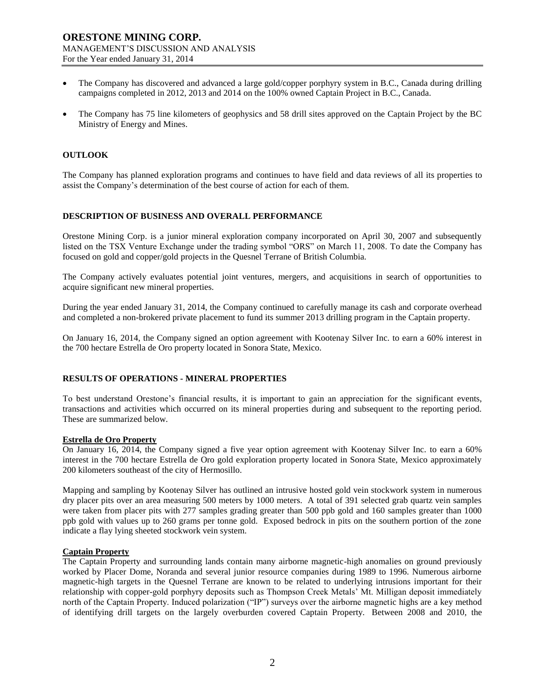- The Company has discovered and advanced a large gold/copper porphyry system in B.C., Canada during drilling campaigns completed in 2012, 2013 and 2014 on the 100% owned Captain Project in B.C., Canada.
- The Company has 75 line kilometers of geophysics and 58 drill sites approved on the Captain Project by the BC Ministry of Energy and Mines.

## **OUTLOOK**

The Company has planned exploration programs and continues to have field and data reviews of all its properties to assist the Company's determination of the best course of action for each of them.

#### **DESCRIPTION OF BUSINESS AND OVERALL PERFORMANCE**

Orestone Mining Corp. is a junior mineral exploration company incorporated on April 30, 2007 and subsequently listed on the TSX Venture Exchange under the trading symbol "ORS" on March 11, 2008. To date the Company has focused on gold and copper/gold projects in the Quesnel Terrane of British Columbia.

The Company actively evaluates potential joint ventures, mergers, and acquisitions in search of opportunities to acquire significant new mineral properties.

During the year ended January 31, 2014, the Company continued to carefully manage its cash and corporate overhead and completed a non-brokered private placement to fund its summer 2013 drilling program in the Captain property.

On January 16, 2014, the Company signed an option agreement with Kootenay Silver Inc. to earn a 60% interest in the 700 hectare Estrella de Oro property located in Sonora State, Mexico.

## **RESULTS OF OPERATIONS - MINERAL PROPERTIES**

To best understand Orestone's financial results, it is important to gain an appreciation for the significant events, transactions and activities which occurred on its mineral properties during and subsequent to the reporting period. These are summarized below.

#### **Estrella de Oro Property**

On January 16, 2014, the Company signed a five year option agreement with Kootenay Silver Inc. to earn a 60% interest in the 700 hectare Estrella de Oro gold exploration property located in Sonora State, Mexico approximately 200 kilometers southeast of the city of Hermosillo.

Mapping and sampling by Kootenay Silver has outlined an intrusive hosted gold vein stockwork system in numerous dry placer pits over an area measuring 500 meters by 1000 meters. A total of 391 selected grab quartz vein samples were taken from placer pits with 277 samples grading greater than 500 ppb gold and 160 samples greater than 1000 ppb gold with values up to 260 grams per tonne gold. Exposed bedrock in pits on the southern portion of the zone indicate a flay lying sheeted stockwork vein system.

## **Captain Property**

The Captain Property and surrounding lands contain many airborne magnetic-high anomalies on ground previously worked by Placer Dome, Noranda and several junior resource companies during 1989 to 1996. Numerous airborne magnetic-high targets in the Quesnel Terrane are known to be related to underlying intrusions important for their relationship with copper-gold porphyry deposits such as Thompson Creek Metals' Mt. Milligan deposit immediately north of the Captain Property. Induced polarization ("IP") surveys over the airborne magnetic highs are a key method of identifying drill targets on the largely overburden covered Captain Property. Between 2008 and 2010, the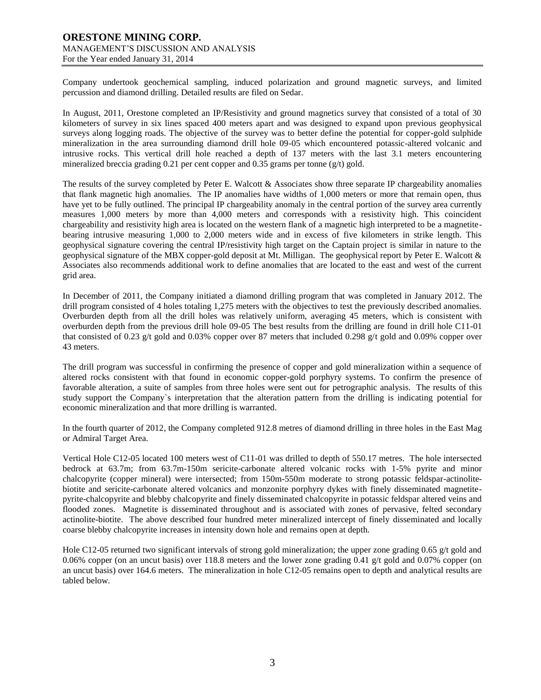Company undertook geochemical sampling, induced polarization and ground magnetic surveys, and limited percussion and diamond drilling. Detailed results are filed on Sedar.

In August, 2011, Orestone completed an IP/Resistivity and ground magnetics survey that consisted of a total of 30 kilometers of survey in six lines spaced 400 meters apart and was designed to expand upon previous geophysical surveys along logging roads. The objective of the survey was to better define the potential for copper-gold sulphide mineralization in the area surrounding diamond drill hole 09-05 which encountered potassic-altered volcanic and intrusive rocks. This vertical drill hole reached a depth of 137 meters with the last 3.1 meters encountering mineralized breccia grading 0.21 per cent copper and 0.35 grams per tonne ( $g/t$ ) gold.

The results of the survey completed by Peter E. Walcott & Associates show three separate IP chargeability anomalies that flank magnetic high anomalies. The IP anomalies have widths of 1,000 meters or more that remain open, thus have yet to be fully outlined. The principal IP chargeability anomaly in the central portion of the survey area currently measures 1,000 meters by more than 4,000 meters and corresponds with a resistivity high. This coincident chargeability and resistivity high area is located on the western flank of a magnetic high interpreted to be a magnetitebearing intrusive measuring 1,000 to 2,000 meters wide and in excess of five kilometers in strike length. This geophysical signature covering the central IP/resistivity high target on the Captain project is similar in nature to the geophysical signature of the MBX copper-gold deposit at Mt. Milligan. The geophysical report by Peter E. Walcott & Associates also recommends additional work to define anomalies that are located to the east and west of the current grid area.

In December of 2011, the Company initiated a diamond drilling program that was completed in January 2012. The drill program consisted of 4 holes totaling 1,275 meters with the objectives to test the previously described anomalies. Overburden depth from all the drill holes was relatively uniform, averaging 45 meters, which is consistent with overburden depth from the previous drill hole 09-05 The best results from the drilling are found in drill hole C11-01 that consisted of 0.23 g/t gold and 0.03% copper over 87 meters that included 0.298 g/t gold and 0.09% copper over 43 meters.

The drill program was successful in confirming the presence of copper and gold mineralization within a sequence of altered rocks consistent with that found in economic copper-gold porphyry systems. To confirm the presence of favorable alteration, a suite of samples from three holes were sent out for petrographic analysis. The results of this study support the Company`s interpretation that the alteration pattern from the drilling is indicating potential for economic mineralization and that more drilling is warranted.

In the fourth quarter of 2012, the Company completed 912.8 metres of diamond drilling in three holes in the East Mag or Admiral Target Area.

Vertical Hole C12-05 located 100 meters west of C11-01 was drilled to depth of 550.17 metres. The hole intersected bedrock at 63.7m; from 63.7m-150m sericite-carbonate altered volcanic rocks with 1-5% pyrite and minor chalcopyrite (copper mineral) were intersected; from 150m-550m moderate to strong potassic feldspar-actinolitebiotite and sericite-carbonate altered volcanics and monzonite porphyry dykes with finely disseminated magnetitepyrite-chalcopyrite and blebby chalcopyrite and finely disseminated chalcopyrite in potassic feldspar altered veins and flooded zones. Magnetite is disseminated throughout and is associated with zones of pervasive, felted secondary actinolite-biotite. The above described four hundred meter mineralized intercept of finely disseminated and locally coarse blebby chalcopyrite increases in intensity down hole and remains open at depth.

Hole C12-05 returned two significant intervals of strong gold mineralization; the upper zone grading 0.65 g/t gold and 0.06% copper (on an uncut basis) over 118.8 meters and the lower zone grading 0.41 g/t gold and 0.07% copper (on an uncut basis) over 164.6 meters. The mineralization in hole C12-05 remains open to depth and analytical results are tabled below.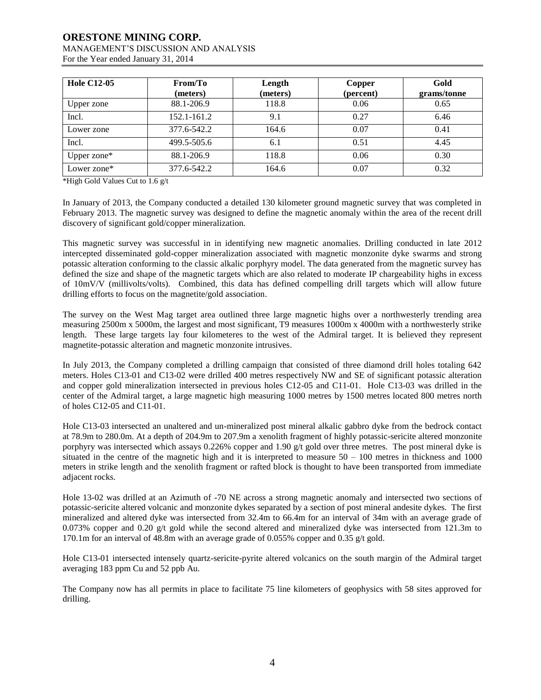# **ORESTONE MINING CORP.**

### MANAGEMENT'S DISCUSSION AND ANALYSIS For the Year ended January 31, 2014

| <b>Hole C12-05</b> | From/To<br>(meters) | Length<br>(meters) | Copper<br>(percent) | Gold<br>grams/tonne |
|--------------------|---------------------|--------------------|---------------------|---------------------|
| Upper zone         | 88.1-206.9          | 118.8              | 0.06                | 0.65                |
| Incl.              | 152.1-161.2         | 9.1                | 0.27                | 6.46                |
| Lower zone         | 377.6-542.2         | 164.6              | 0.07                | 0.41                |
| Incl.              | 499.5-505.6         | 6.1                | 0.51                | 4.45                |
| Upper zone*        | 88.1-206.9          | 118.8              | 0.06                | 0.30                |
| Lower zone*        | 377.6-542.2         | 164.6              | 0.07                | 0.32                |

\*High Gold Values Cut to 1.6 g/t

In January of 2013, the Company conducted a detailed 130 kilometer ground magnetic survey that was completed in February 2013. The magnetic survey was designed to define the magnetic anomaly within the area of the recent drill discovery of significant gold/copper mineralization.

This magnetic survey was successful in in identifying new magnetic anomalies. Drilling conducted in late 2012 intercepted disseminated gold-copper mineralization associated with magnetic monzonite dyke swarms and strong potassic alteration conforming to the classic alkalic porphyry model. The data generated from the magnetic survey has defined the size and shape of the magnetic targets which are also related to moderate IP chargeability highs in excess of 10mV/V (millivolts/volts). Combined, this data has defined compelling drill targets which will allow future drilling efforts to focus on the magnetite/gold association.

The survey on the West Mag target area outlined three large magnetic highs over a northwesterly trending area measuring 2500m x 5000m, the largest and most significant, T9 measures 1000m x 4000m with a northwesterly strike length. These large targets lay four kilometeres to the west of the Admiral target. It is believed they represent magnetite-potassic alteration and magnetic monzonite intrusives.

In July 2013, the Company completed a drilling campaign that consisted of three diamond drill holes totaling 642 meters. Holes C13-01 and C13-02 were drilled 400 metres respectively NW and SE of significant potassic alteration and copper gold mineralization intersected in previous holes C12-05 and C11-01. Hole C13-03 was drilled in the center of the Admiral target, a large magnetic high measuring 1000 metres by 1500 metres located 800 metres north of holes C12-05 and C11-01.

Hole C13-03 intersected an unaltered and un-mineralized post mineral alkalic gabbro dyke from the bedrock contact at 78.9m to 280.0m. At a depth of 204.9m to 207.9m a xenolith fragment of highly potassic-sericite altered monzonite porphyry was intersected which assays 0.226% copper and 1.90 g/t gold over three metres. The post mineral dyke is situated in the centre of the magnetic high and it is interpreted to measure  $50 - 100$  metres in thickness and 1000 meters in strike length and the xenolith fragment or rafted block is thought to have been transported from immediate adjacent rocks.

Hole 13-02 was drilled at an Azimuth of -70 NE across a strong magnetic anomaly and intersected two sections of potassic-sericite altered volcanic and monzonite dykes separated by a section of post mineral andesite dykes. The first mineralized and altered dyke was intersected from 32.4m to 66.4m for an interval of 34m with an average grade of 0.073% copper and 0.20 g/t gold while the second altered and mineralized dyke was intersected from 121.3m to 170.1m for an interval of 48.8m with an average grade of 0.055% copper and 0.35 g/t gold.

Hole C13-01 intersected intensely quartz-sericite-pyrite altered volcanics on the south margin of the Admiral target averaging 183 ppm Cu and 52 ppb Au.

The Company now has all permits in place to facilitate 75 line kilometers of geophysics with 58 sites approved for drilling.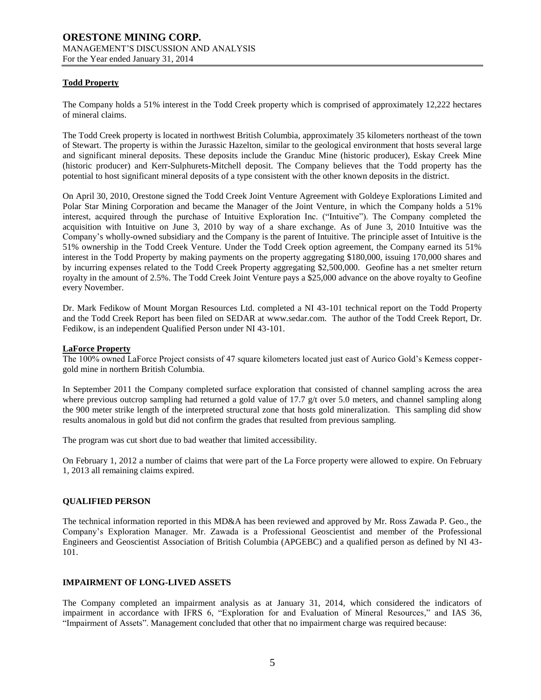## **Todd Property**

The Company holds a 51% interest in the Todd Creek property which is comprised of approximately 12,222 hectares of mineral claims.

The Todd Creek property is located in northwest British Columbia, approximately 35 kilometers northeast of the town of Stewart. The property is within the Jurassic Hazelton, similar to the geological environment that hosts several large and significant mineral deposits. These deposits include the Granduc Mine (historic producer), Eskay Creek Mine (historic producer) and Kerr-Sulphurets-Mitchell deposit. The Company believes that the Todd property has the potential to host significant mineral deposits of a type consistent with the other known deposits in the district.

On April 30, 2010, Orestone signed the Todd Creek Joint Venture Agreement with Goldeye Explorations Limited and Polar Star Mining Corporation and became the Manager of the Joint Venture, in which the Company holds a 51% interest, acquired through the purchase of Intuitive Exploration Inc. ("Intuitive"). The Company completed the acquisition with Intuitive on June 3, 2010 by way of a share exchange. As of June 3, 2010 Intuitive was the Company's wholly-owned subsidiary and the Company is the parent of Intuitive. The principle asset of Intuitive is the 51% ownership in the Todd Creek Venture. Under the Todd Creek option agreement, the Company earned its 51% interest in the Todd Property by making payments on the property aggregating \$180,000, issuing 170,000 shares and by incurring expenses related to the Todd Creek Property aggregating \$2,500,000. Geofine has a net smelter return royalty in the amount of 2.5%. The Todd Creek Joint Venture pays a \$25,000 advance on the above royalty to Geofine every November.

Dr. Mark Fedikow of Mount Morgan Resources Ltd. completed a NI 43-101 technical report on the Todd Property and the Todd Creek Report has been filed on SEDAR at [www.sedar.com.](http://www.sedar.com/) The author of the Todd Creek Report, Dr. Fedikow, is an independent Qualified Person under NI 43-101.

#### **LaForce Property**

The 100% owned LaForce Project consists of 47 square kilometers located just east of Aurico Gold's Kemess coppergold mine in northern British Columbia.

In September 2011 the Company completed surface exploration that consisted of channel sampling across the area where previous outcrop sampling had returned a gold value of 17.7  $g/t$  over 5.0 meters, and channel sampling along the 900 meter strike length of the interpreted structural zone that hosts gold mineralization. This sampling did show results anomalous in gold but did not confirm the grades that resulted from previous sampling.

The program was cut short due to bad weather that limited accessibility.

On February 1, 2012 a number of claims that were part of the La Force property were allowed to expire. On February 1, 2013 all remaining claims expired.

## **QUALIFIED PERSON**

The technical information reported in this MD&A has been reviewed and approved by Mr. Ross Zawada P. Geo., the Company's Exploration Manager. Mr. Zawada is a Professional Geoscientist and member of the Professional Engineers and Geoscientist Association of British Columbia (APGEBC) and a qualified person as defined by NI 43- 101.

## **IMPAIRMENT OF LONG-LIVED ASSETS**

The Company completed an impairment analysis as at January 31, 2014, which considered the indicators of impairment in accordance with IFRS 6, "Exploration for and Evaluation of Mineral Resources," and IAS 36, "Impairment of Assets". Management concluded that other that no impairment charge was required because: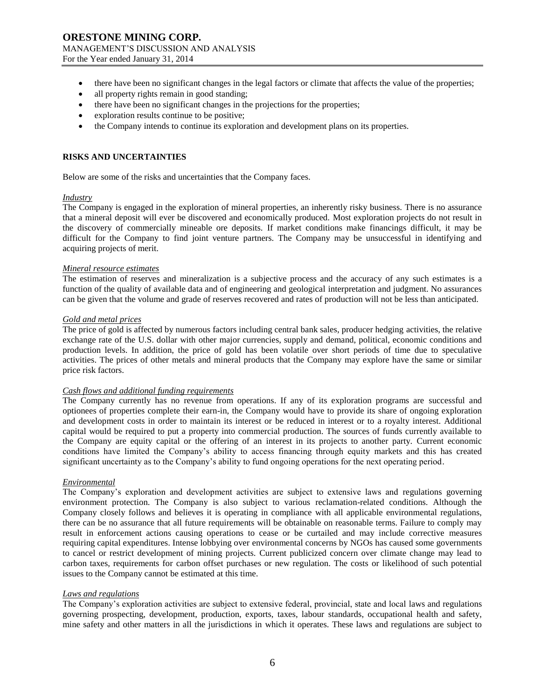- there have been no significant changes in the legal factors or climate that affects the value of the properties;
- all property rights remain in good standing;
- there have been no significant changes in the projections for the properties;
- exploration results continue to be positive;
- the Company intends to continue its exploration and development plans on its properties.

## **RISKS AND UNCERTAINTIES**

Below are some of the risks and uncertainties that the Company faces.

#### *Industry*

The Company is engaged in the exploration of mineral properties, an inherently risky business. There is no assurance that a mineral deposit will ever be discovered and economically produced. Most exploration projects do not result in the discovery of commercially mineable ore deposits. If market conditions make financings difficult, it may be difficult for the Company to find joint venture partners. The Company may be unsuccessful in identifying and acquiring projects of merit.

## *Mineral resource estimates*

The estimation of reserves and mineralization is a subjective process and the accuracy of any such estimates is a function of the quality of available data and of engineering and geological interpretation and judgment. No assurances can be given that the volume and grade of reserves recovered and rates of production will not be less than anticipated.

#### *Gold and metal prices*

The price of gold is affected by numerous factors including central bank sales, producer hedging activities, the relative exchange rate of the U.S. dollar with other major currencies, supply and demand, political, economic conditions and production levels. In addition, the price of gold has been volatile over short periods of time due to speculative activities. The prices of other metals and mineral products that the Company may explore have the same or similar price risk factors.

## *Cash flows and additional funding requirements*

The Company currently has no revenue from operations. If any of its exploration programs are successful and optionees of properties complete their earn-in, the Company would have to provide its share of ongoing exploration and development costs in order to maintain its interest or be reduced in interest or to a royalty interest. Additional capital would be required to put a property into commercial production. The sources of funds currently available to the Company are equity capital or the offering of an interest in its projects to another party. Current economic conditions have limited the Company's ability to access financing through equity markets and this has created significant uncertainty as to the Company's ability to fund ongoing operations for the next operating period.

#### *Environmental*

The Company's exploration and development activities are subject to extensive laws and regulations governing environment protection. The Company is also subject to various reclamation-related conditions. Although the Company closely follows and believes it is operating in compliance with all applicable environmental regulations, there can be no assurance that all future requirements will be obtainable on reasonable terms. Failure to comply may result in enforcement actions causing operations to cease or be curtailed and may include corrective measures requiring capital expenditures. Intense lobbying over environmental concerns by NGOs has caused some governments to cancel or restrict development of mining projects. Current publicized concern over climate change may lead to carbon taxes, requirements for carbon offset purchases or new regulation. The costs or likelihood of such potential issues to the Company cannot be estimated at this time.

#### *Laws and regulations*

The Company's exploration activities are subject to extensive federal, provincial, state and local laws and regulations governing prospecting, development, production, exports, taxes, labour standards, occupational health and safety, mine safety and other matters in all the jurisdictions in which it operates. These laws and regulations are subject to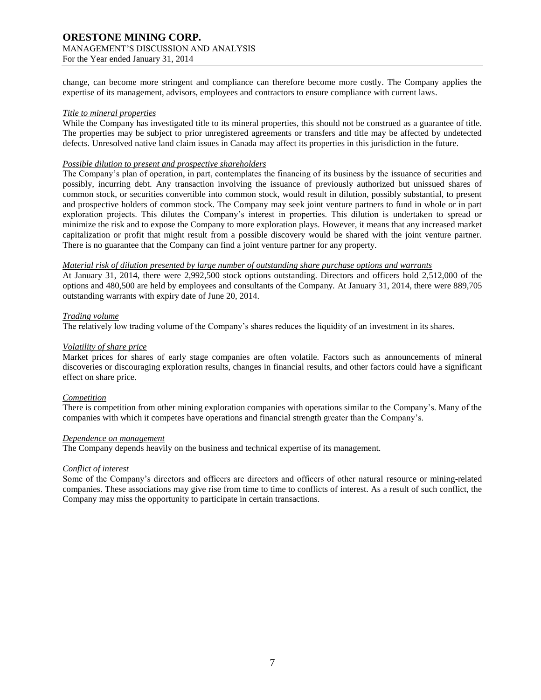For the Year ended January 31, 2014

change, can become more stringent and compliance can therefore become more costly. The Company applies the expertise of its management, advisors, employees and contractors to ensure compliance with current laws.

#### *Title to mineral properties*

While the Company has investigated title to its mineral properties, this should not be construed as a guarantee of title. The properties may be subject to prior unregistered agreements or transfers and title may be affected by undetected defects. Unresolved native land claim issues in Canada may affect its properties in this jurisdiction in the future.

#### *Possible dilution to present and prospective shareholders*

The Company's plan of operation, in part, contemplates the financing of its business by the issuance of securities and possibly, incurring debt. Any transaction involving the issuance of previously authorized but unissued shares of common stock, or securities convertible into common stock, would result in dilution, possibly substantial, to present and prospective holders of common stock. The Company may seek joint venture partners to fund in whole or in part exploration projects. This dilutes the Company's interest in properties. This dilution is undertaken to spread or minimize the risk and to expose the Company to more exploration plays. However, it means that any increased market capitalization or profit that might result from a possible discovery would be shared with the joint venture partner. There is no guarantee that the Company can find a joint venture partner for any property.

#### *Material risk of dilution presented by large number of outstanding share purchase options and warrants*

At January 31, 2014, there were 2,992,500 stock options outstanding. Directors and officers hold 2,512,000 of the options and 480,500 are held by employees and consultants of the Company. At January 31, 2014, there were 889,705 outstanding warrants with expiry date of June 20, 2014.

#### *Trading volume*

The relatively low trading volume of the Company's shares reduces the liquidity of an investment in its shares.

## *Volatility of share price*

Market prices for shares of early stage companies are often volatile. Factors such as announcements of mineral discoveries or discouraging exploration results, changes in financial results, and other factors could have a significant effect on share price.

#### *Competition*

There is competition from other mining exploration companies with operations similar to the Company's. Many of the companies with which it competes have operations and financial strength greater than the Company's.

## *Dependence on management*

The Company depends heavily on the business and technical expertise of its management.

## *Conflict of interest*

Some of the Company's directors and officers are directors and officers of other natural resource or mining-related companies. These associations may give rise from time to time to conflicts of interest. As a result of such conflict, the Company may miss the opportunity to participate in certain transactions.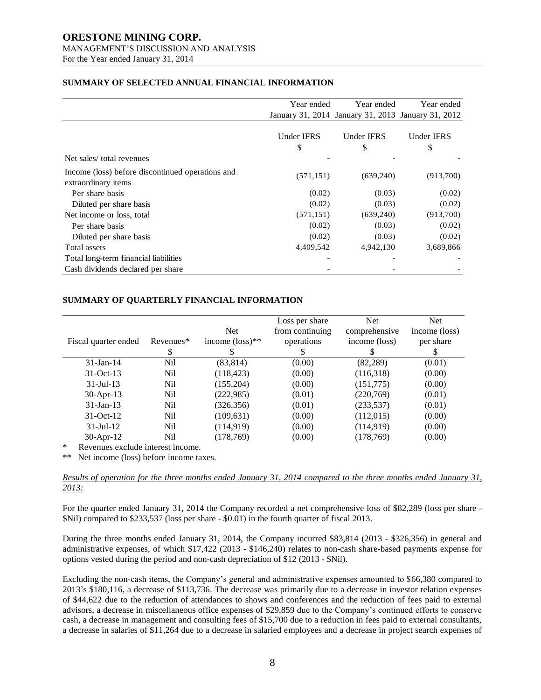For the Year ended January 31, 2014

## **SUMMARY OF SELECTED ANNUAL FINANCIAL INFORMATION**

|                                                  | Year ended        | Year ended                                         |                   |
|--------------------------------------------------|-------------------|----------------------------------------------------|-------------------|
|                                                  |                   | January 31, 2014 January 31, 2013 January 31, 2012 |                   |
|                                                  |                   |                                                    |                   |
|                                                  | <b>Under IFRS</b> | Under IFRS                                         | <b>Under IFRS</b> |
|                                                  | \$                | \$                                                 | \$                |
| Net sales/total revenues                         |                   |                                                    |                   |
| Income (loss) before discontinued operations and | (571, 151)        | (639,240)                                          | (913,700)         |
| extraordinary items                              |                   |                                                    |                   |
| Per share basis                                  | (0.02)            | (0.03)                                             | (0.02)            |
| Diluted per share basis                          | (0.02)            | (0.03)                                             | (0.02)            |
| Net income or loss, total                        | (571, 151)        | (639,240)                                          | (913,700)         |
| Per share basis                                  | (0.02)            | (0.03)                                             | (0.02)            |
| Diluted per share basis                          | (0.02)            | (0.03)                                             | (0.02)            |
| Total assets                                     | 4,409,542         | 4,942,130                                          | 3,689,866         |
| Total long-term financial liabilities            |                   |                                                    |                   |
| Cash dividends declared per share                |                   |                                                    |                   |

## **SUMMARY OF QUARTERLY FINANCIAL INFORMATION**

| Fiscal quarter ended                  | Revenues* | <b>Net</b><br>income $(\text{loss})^{**}$ | Loss per share<br>from continuing<br>operations | <b>Net</b><br>comprehensive<br>income (loss) | Net.<br>income (loss)<br>per share |
|---------------------------------------|-----------|-------------------------------------------|-------------------------------------------------|----------------------------------------------|------------------------------------|
|                                       |           |                                           |                                                 |                                              |                                    |
| $31$ -Jan-14                          | Nil       | (83, 814)                                 | (0.00)                                          | (82, 289)                                    | (0.01)                             |
| $31-Oct-13$                           | Nil       | (118, 423)                                | (0.00)                                          | (116,318)                                    | (0.00)                             |
| $31 -$ Jul $-13$                      | Nil       | (155, 204)                                | (0.00)                                          | (151, 775)                                   | (0.00)                             |
| 30-Apr-13                             | Nil       | (222, 985)                                | (0.01)                                          | (220,769)                                    | (0.01)                             |
| $31$ -Jan-13                          | Nil       | (326, 356)                                | (0.01)                                          | (233, 537)                                   | (0.01)                             |
| $31-Oct-12$                           | Nil       | (109, 631)                                | (0.00)                                          | (112,015)                                    | (0.00)                             |
| $31 -$ Jul $-12$                      | Nil       | (114, 919)                                | (0.00)                                          | (114, 919)                                   | (0.00)                             |
| $30-Apr-12$                           | Nil       | (178, 769)                                | (0.00)                                          | (178, 769)                                   | (0.00)                             |
| *<br>Revenues exclude interest income |           |                                           |                                                 |                                              |                                    |

Revenues exclude interest income.

\*\* Net income (loss) before income taxes.

## *Results of operation for the three months ended January 31, 2014 compared to the three months ended January 31, 2013:*

For the quarter ended January 31, 2014 the Company recorded a net comprehensive loss of \$82,289 (loss per share - \$Nil) compared to \$233,537 (loss per share - \$0.01) in the fourth quarter of fiscal 2013.

During the three months ended January 31, 2014, the Company incurred \$83,814 (2013 - \$326,356) in general and administrative expenses, of which \$17,422 (2013 - \$146,240) relates to non-cash share-based payments expense for options vested during the period and non-cash depreciation of \$12 (2013 - \$Nil).

Excluding the non-cash items, the Company's general and administrative expenses amounted to \$66,380 compared to 2013's \$180,116, a decrease of \$113,736. The decrease was primarily due to a decrease in investor relation expenses of \$44,622 due to the reduction of attendances to shows and conferences and the reduction of fees paid to external advisors, a decrease in miscellaneous office expenses of \$29,859 due to the Company's continued efforts to conserve cash, a decrease in management and consulting fees of \$15,700 due to a reduction in fees paid to external consultants, a decrease in salaries of \$11,264 due to a decrease in salaried employees and a decrease in project search expenses of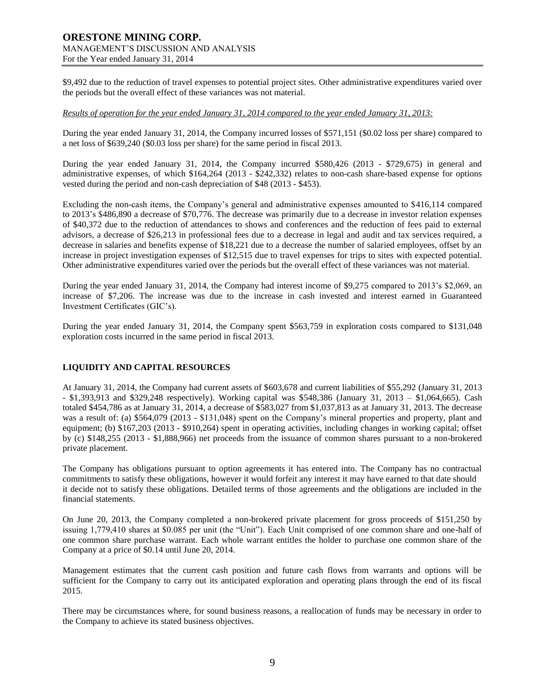\$9,492 due to the reduction of travel expenses to potential project sites. Other administrative expenditures varied over the periods but the overall effect of these variances was not material.

#### *Results of operation for the year ended January 31, 2014 compared to the year ended January 31, 2013:*

During the year ended January 31, 2014, the Company incurred losses of \$571,151 (\$0.02 loss per share) compared to a net loss of \$639,240 (\$0.03 loss per share) for the same period in fiscal 2013.

During the year ended January 31, 2014, the Company incurred \$580,426 (2013 - \$729,675) in general and administrative expenses, of which \$164,264 (2013 - \$242,332) relates to non-cash share-based expense for options vested during the period and non-cash depreciation of \$48 (2013 - \$453).

Excluding the non-cash items, the Company's general and administrative expenses amounted to \$416,114 compared to 2013's \$486,890 a decrease of \$70,776. The decrease was primarily due to a decrease in investor relation expenses of \$40,372 due to the reduction of attendances to shows and conferences and the reduction of fees paid to external advisors, a decrease of \$26,213 in professional fees due to a decrease in legal and audit and tax services required, a decrease in salaries and benefits expense of \$18,221 due to a decrease the number of salaried employees, offset by an increase in project investigation expenses of \$12,515 due to travel expenses for trips to sites with expected potential. Other administrative expenditures varied over the periods but the overall effect of these variances was not material.

During the year ended January 31, 2014, the Company had interest income of \$9,275 compared to 2013's \$2,069, an increase of \$7,206. The increase was due to the increase in cash invested and interest earned in Guaranteed Investment Certificates (GIC's).

During the year ended January 31, 2014, the Company spent \$563,759 in exploration costs compared to \$131,048 exploration costs incurred in the same period in fiscal 2013.

## **LIQUIDITY AND CAPITAL RESOURCES**

At January 31, 2014, the Company had current assets of \$603,678 and current liabilities of \$55,292 (January 31, 2013 - \$1,393,913 and \$329,248 respectively). Working capital was \$548,386 (January 31, 2013 – \$1,064,665). Cash totaled \$454,786 as at January 31, 2014, a decrease of \$583,027 from \$1,037,813 as at January 31, 2013. The decrease was a result of: (a) \$564,079 (2013 - \$131,048) spent on the Company's mineral properties and property, plant and equipment; (b) \$167,203 (2013 - \$910,264) spent in operating activities, including changes in working capital; offset by (c) \$148,255 (2013 - \$1,888,966) net proceeds from the issuance of common shares pursuant to a non-brokered private placement.

The Company has obligations pursuant to option agreements it has entered into. The Company has no contractual commitments to satisfy these obligations, however it would forfeit any interest it may have earned to that date should it decide not to satisfy these obligations. Detailed terms of those agreements and the obligations are included in the financial statements.

On June 20, 2013, the Company completed a non-brokered private placement for gross proceeds of \$151,250 by issuing 1,779,410 shares at \$0.085 per unit (the "Unit"). Each Unit comprised of one common share and one-half of one common share purchase warrant. Each whole warrant entitles the holder to purchase one common share of the Company at a price of \$0.14 until June 20, 2014.

Management estimates that the current cash position and future cash flows from warrants and options will be sufficient for the Company to carry out its anticipated exploration and operating plans through the end of its fiscal 2015.

There may be circumstances where, for sound business reasons, a reallocation of funds may be necessary in order to the Company to achieve its stated business objectives.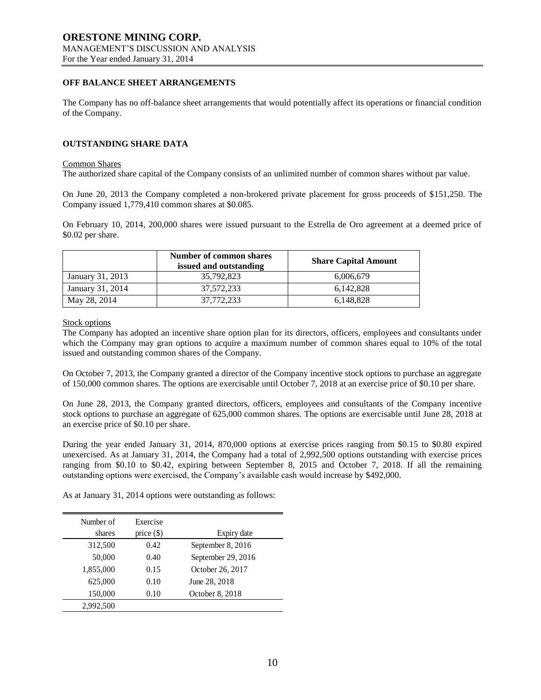## **OFF BALANCE SHEET ARRANGEMENTS**

The Company has no off-balance sheet arrangements that would potentially affect its operations or financial condition of the Company.

## **OUTSTANDING SHARE DATA**

#### Common Shares

The authorized share capital of the Company consists of an unlimited number of common shares without par value.

On June 20, 2013 the Company completed a non-brokered private placement for gross proceeds of \$151,250. The Company issued 1,779,410 common shares at \$0.085.

On February 10, 2014, 200,000 shares were issued pursuant to the Estrella de Oro agreement at a deemed price of \$0.02 per share.

|                  | <b>Number of common shares</b><br>issued and outstanding | <b>Share Capital Amount</b> |
|------------------|----------------------------------------------------------|-----------------------------|
| January 31, 2013 | 35,792,823                                               | 6,006,679                   |
| January 31, 2014 | 37.572.233                                               | 6.142.828                   |
| May 28, 2014     | 37,772,233                                               | 6,148,828                   |

Stock options

The Company has adopted an incentive share option plan for its directors, officers, employees and consultants under which the Company may gran options to acquire a maximum number of common shares equal to 10% of the total issued and outstanding common shares of the Company.

On October 7, 2013, the Company granted a director of the Company incentive stock options to purchase an aggregate of 150,000 common shares. The options are exercisable until October 7, 2018 at an exercise price of \$0.10 per share.

On June 28, 2013, the Company granted directors, officers, employees and consultants of the Company incentive stock options to purchase an aggregate of 625,000 common shares. The options are exercisable until June 28, 2018 at an exercise price of \$0.10 per share.

During the year ended January 31, 2014, 870,000 options at exercise prices ranging from \$0.15 to \$0.80 expired unexercised. As at January 31, 2014, the Company had a total of 2,992,500 options outstanding with exercise prices ranging from \$0.10 to \$0.42, expiring between September 8, 2015 and October 7, 2018. If all the remaining outstanding options were exercised, the Company's available cash would increase by \$492,000.

As at January 31, 2014 options were outstanding as follows:

| Number of | Exercise     |                    |
|-----------|--------------|--------------------|
| shares    | price $(\$)$ | Expiry date        |
| 312,500   | 0.42         | September 8, 2016  |
| 50,000    | 0.40         | September 29, 2016 |
| 1,855,000 | 0.15         | October 26, 2017   |
| 625,000   | 0.10         | June 28, 2018      |
| 150,000   | 0.10         | October 8, 2018    |
| 2,992,500 |              |                    |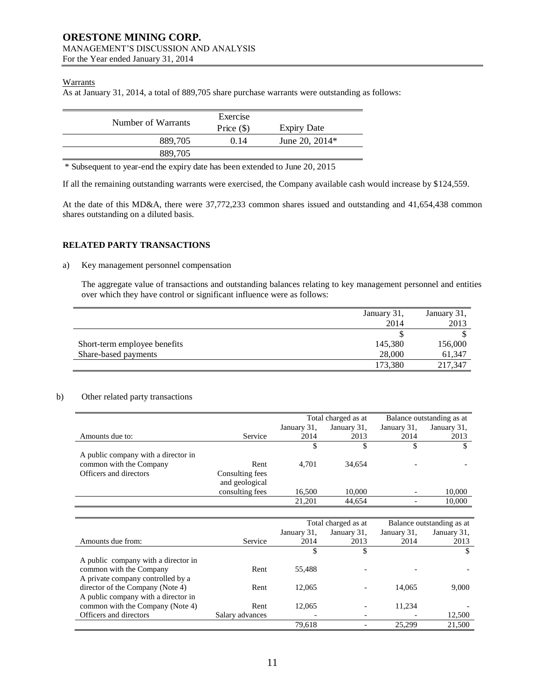For the Year ended January 31, 2014

## **Warrants**

As at January 31, 2014, a total of 889,705 share purchase warrants were outstanding as follows:

|                    | Exercise     |                    |
|--------------------|--------------|--------------------|
| Number of Warrants | Price $(\$)$ | <b>Expiry Date</b> |
| 889.705            | 0.14         | June 20, $2014*$   |
| 889,705            |              |                    |

\* Subsequent to year-end the expiry date has been extended to June 20, 2015

If all the remaining outstanding warrants were exercised, the Company available cash would increase by \$124,559.

At the date of this MD&A, there were 37,772,233 common shares issued and outstanding and 41,654,438 common shares outstanding on a diluted basis.

## **RELATED PARTY TRANSACTIONS**

## a) Key management personnel compensation

The aggregate value of transactions and outstanding balances relating to key management personnel and entities over which they have control or significant influence were as follows:

|                              | January 31, | January 31, |
|------------------------------|-------------|-------------|
|                              | 2014        | 2013        |
|                              |             |             |
| Short-term employee benefits | 145,380     | 156,000     |
| Share-based payments         | 28,000      | 61,347      |
|                              | 173,380     | 217.347     |

## b) Other related party transactions

|                                     |                 | Total charged as at |             | Balance outstanding as at |             |
|-------------------------------------|-----------------|---------------------|-------------|---------------------------|-------------|
|                                     |                 | January 31,         | January 31, | January 31,               | January 31, |
| Amounts due to:                     | Service         | 2014                | 2013        | 2014                      | 2013        |
|                                     |                 |                     |             |                           |             |
| A public company with a director in |                 |                     |             |                           |             |
| common with the Company             | Rent            | 4.701               | 34.654      |                           |             |
| Officers and directors              | Consulting fees |                     |             |                           |             |
|                                     | and geological  |                     |             |                           |             |
|                                     | consulting fees | 16,500              | 10,000      | $\overline{\phantom{0}}$  | 10,000      |
|                                     |                 | 21,201              | 44.654      |                           | 10,000      |

|                                     |                 | Total charged as at |             | Balance outstanding as at |             |
|-------------------------------------|-----------------|---------------------|-------------|---------------------------|-------------|
|                                     |                 | January 31,         | January 31, | January 31,               | January 31, |
| Amounts due from:                   | Service         | 2014                | 2013        | 2014                      | 2013        |
|                                     |                 |                     | \$          |                           |             |
| A public company with a director in |                 |                     |             |                           |             |
| common with the Company             | Rent            | 55,488              |             |                           |             |
| A private company controlled by a   |                 |                     |             |                           |             |
| director of the Company (Note 4)    | Rent            | 12.065              |             | 14,065                    | 9,000       |
| A public company with a director in |                 |                     |             |                           |             |
| common with the Company (Note 4)    | Rent            | 12.065              |             | 11,234                    |             |
| Officers and directors              | Salary advances |                     |             |                           | 12,500      |
|                                     |                 | 79,618              |             | 25,299                    | 21,500      |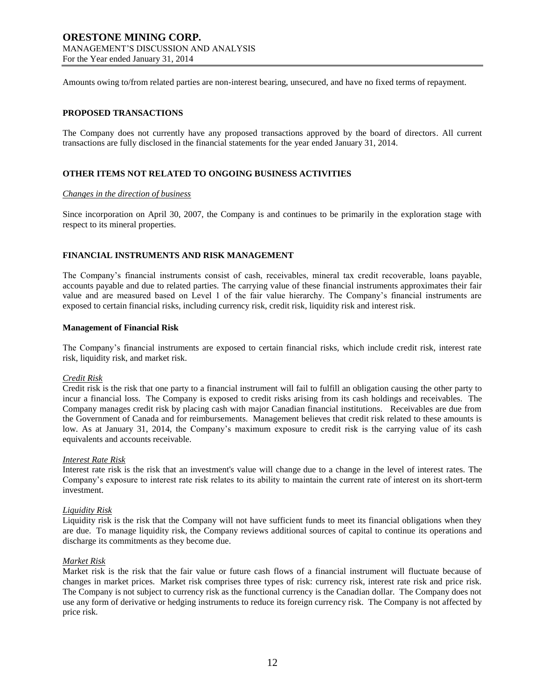For the Year ended January 31, 2014

Amounts owing to/from related parties are non-interest bearing, unsecured, and have no fixed terms of repayment.

## **PROPOSED TRANSACTIONS**

The Company does not currently have any proposed transactions approved by the board of directors. All current transactions are fully disclosed in the financial statements for the year ended January 31, 2014.

## **OTHER ITEMS NOT RELATED TO ONGOING BUSINESS ACTIVITIES**

## *Changes in the direction of business*

Since incorporation on April 30, 2007, the Company is and continues to be primarily in the exploration stage with respect to its mineral properties.

## **FINANCIAL INSTRUMENTS AND RISK MANAGEMENT**

The Company's financial instruments consist of cash, receivables, mineral tax credit recoverable, loans payable, accounts payable and due to related parties. The carrying value of these financial instruments approximates their fair value and are measured based on Level 1 of the fair value hierarchy. The Company's financial instruments are exposed to certain financial risks, including currency risk, credit risk, liquidity risk and interest risk.

#### **Management of Financial Risk**

The Company's financial instruments are exposed to certain financial risks, which include credit risk, interest rate risk, liquidity risk, and market risk.

#### *Credit Risk*

Credit risk is the risk that one party to a financial instrument will fail to fulfill an obligation causing the other party to incur a financial loss. The Company is exposed to credit risks arising from its cash holdings and receivables. The Company manages credit risk by placing cash with major Canadian financial institutions. Receivables are due from the Government of Canada and for reimbursements. Management believes that credit risk related to these amounts is low. As at January 31, 2014, the Company's maximum exposure to credit risk is the carrying value of its cash equivalents and accounts receivable.

#### *Interest Rate Risk*

Interest rate risk is the risk that an investment's value will change due to a change in the level of interest rates. The Company's exposure to interest rate risk relates to its ability to maintain the current rate of interest on its short-term investment.

#### *Liquidity Risk*

Liquidity risk is the risk that the Company will not have sufficient funds to meet its financial obligations when they are due. To manage liquidity risk, the Company reviews additional sources of capital to continue its operations and discharge its commitments as they become due.

#### *Market Risk*

Market risk is the risk that the fair value or future cash flows of a financial instrument will fluctuate because of changes in market prices. Market risk comprises three types of risk: currency risk, interest rate risk and price risk. The Company is not subject to currency risk as the functional currency is the Canadian dollar. The Company does not use any form of derivative or hedging instruments to reduce its foreign currency risk. The Company is not affected by price risk.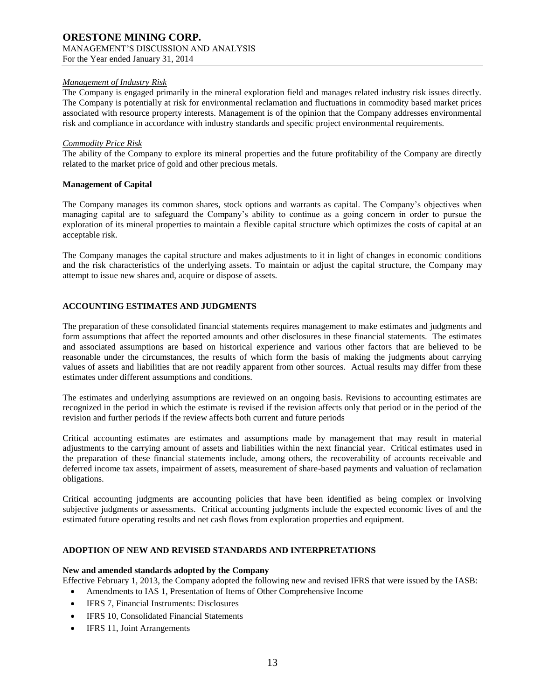## *Management of Industry Risk*

The Company is engaged primarily in the mineral exploration field and manages related industry risk issues directly. The Company is potentially at risk for environmental reclamation and fluctuations in commodity based market prices associated with resource property interests. Management is of the opinion that the Company addresses environmental risk and compliance in accordance with industry standards and specific project environmental requirements.

#### *Commodity Price Risk*

The ability of the Company to explore its mineral properties and the future profitability of the Company are directly related to the market price of gold and other precious metals.

## **Management of Capital**

The Company manages its common shares, stock options and warrants as capital. The Company's objectives when managing capital are to safeguard the Company's ability to continue as a going concern in order to pursue the exploration of its mineral properties to maintain a flexible capital structure which optimizes the costs of capital at an acceptable risk.

The Company manages the capital structure and makes adjustments to it in light of changes in economic conditions and the risk characteristics of the underlying assets. To maintain or adjust the capital structure, the Company may attempt to issue new shares and, acquire or dispose of assets.

## **ACCOUNTING ESTIMATES AND JUDGMENTS**

The preparation of these consolidated financial statements requires management to make estimates and judgments and form assumptions that affect the reported amounts and other disclosures in these financial statements. The estimates and associated assumptions are based on historical experience and various other factors that are believed to be reasonable under the circumstances, the results of which form the basis of making the judgments about carrying values of assets and liabilities that are not readily apparent from other sources. Actual results may differ from these estimates under different assumptions and conditions.

The estimates and underlying assumptions are reviewed on an ongoing basis. Revisions to accounting estimates are recognized in the period in which the estimate is revised if the revision affects only that period or in the period of the revision and further periods if the review affects both current and future periods

Critical accounting estimates are estimates and assumptions made by management that may result in material adjustments to the carrying amount of assets and liabilities within the next financial year. Critical estimates used in the preparation of these financial statements include, among others, the recoverability of accounts receivable and deferred income tax assets, impairment of assets, measurement of share-based payments and valuation of reclamation obligations.

Critical accounting judgments are accounting policies that have been identified as being complex or involving subjective judgments or assessments. Critical accounting judgments include the expected economic lives of and the estimated future operating results and net cash flows from exploration properties and equipment.

#### **ADOPTION OF NEW AND REVISED STANDARDS AND INTERPRETATIONS**

## **New and amended standards adopted by the Company**

- Effective February 1, 2013, the Company adopted the following new and revised IFRS that were issued by the IASB:
	- Amendments to IAS 1, Presentation of Items of Other Comprehensive Income
	- IFRS 7, Financial Instruments: Disclosures
	- IFRS 10, Consolidated Financial Statements
	- IFRS 11, Joint Arrangements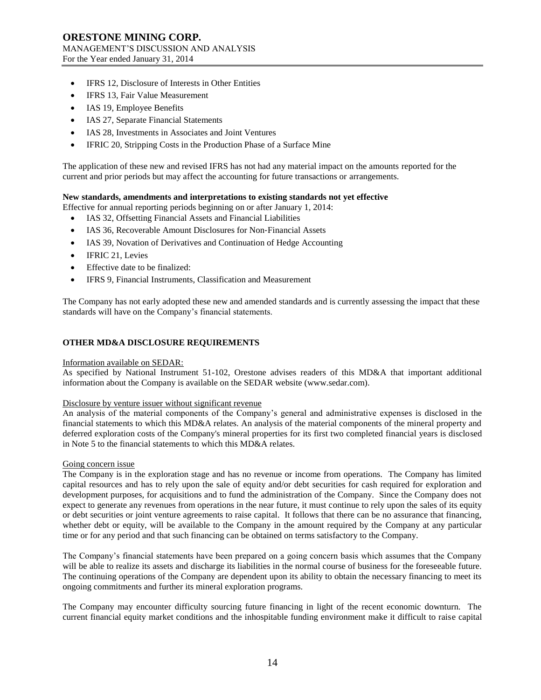- IFRS 12, Disclosure of Interests in Other Entities
- IFRS 13, Fair Value Measurement
- IAS 19, Employee Benefits
- IAS 27, Separate Financial Statements
- IAS 28, Investments in Associates and Joint Ventures
- IFRIC 20, Stripping Costs in the Production Phase of a Surface Mine

The application of these new and revised IFRS has not had any material impact on the amounts reported for the current and prior periods but may affect the accounting for future transactions or arrangements.

#### **New standards, amendments and interpretations to existing standards not yet effective**

Effective for annual reporting periods beginning on or after January 1, 2014:

- IAS 32, Offsetting Financial Assets and Financial Liabilities
- IAS 36, Recoverable Amount Disclosures for Non‐Financial Assets
- IAS 39, Novation of Derivatives and Continuation of Hedge Accounting
- IFRIC 21, Levies
- Effective date to be finalized:
- IFRS 9, Financial Instruments, Classification and Measurement

The Company has not early adopted these new and amended standards and is currently assessing the impact that these standards will have on the Company's financial statements.

## **OTHER MD&A DISCLOSURE REQUIREMENTS**

## Information available on SEDAR:

As specified by National Instrument 51-102, Orestone advises readers of this MD&A that important additional information about the Company is available on the SEDAR website (www.sedar.com).

## Disclosure by venture issuer without significant revenue

An analysis of the material components of the Company's general and administrative expenses is disclosed in the financial statements to which this MD&A relates. An analysis of the material components of the mineral property and deferred exploration costs of the Company's mineral properties for its first two completed financial years is disclosed in Note 5 to the financial statements to which this MD&A relates.

#### Going concern issue

The Company is in the exploration stage and has no revenue or income from operations. The Company has limited capital resources and has to rely upon the sale of equity and/or debt securities for cash required for exploration and development purposes, for acquisitions and to fund the administration of the Company. Since the Company does not expect to generate any revenues from operations in the near future, it must continue to rely upon the sales of its equity or debt securities or joint venture agreements to raise capital. It follows that there can be no assurance that financing, whether debt or equity, will be available to the Company in the amount required by the Company at any particular time or for any period and that such financing can be obtained on terms satisfactory to the Company.

The Company's financial statements have been prepared on a going concern basis which assumes that the Company will be able to realize its assets and discharge its liabilities in the normal course of business for the foreseeable future. The continuing operations of the Company are dependent upon its ability to obtain the necessary financing to meet its ongoing commitments and further its mineral exploration programs.

The Company may encounter difficulty sourcing future financing in light of the recent economic downturn. The current financial equity market conditions and the inhospitable funding environment make it difficult to raise capital